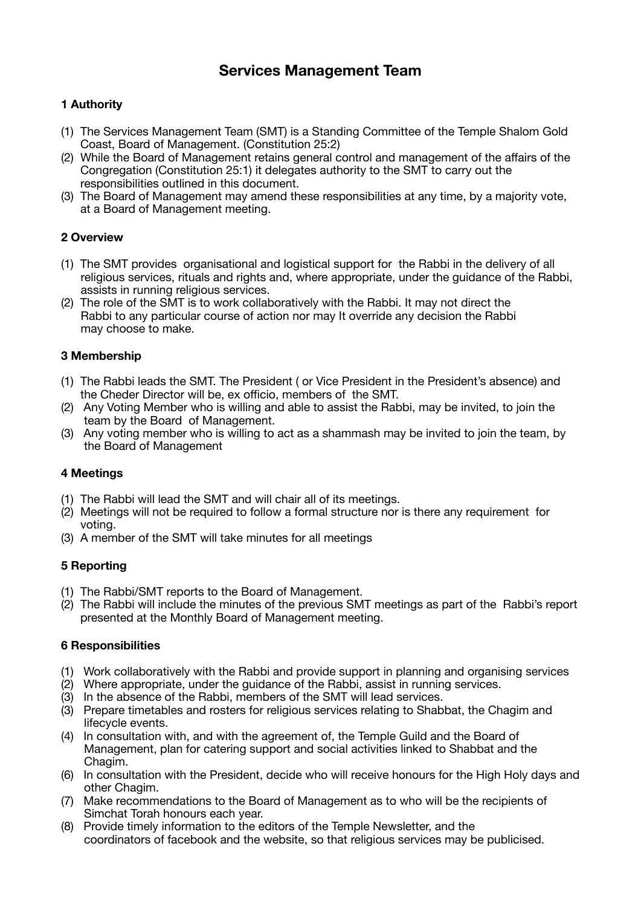# **Services Management Team**

## **1 Authority**

- (1) The Services Management Team (SMT) is a Standing Committee of the Temple Shalom Gold Coast, Board of Management. (Constitution 25:2)
- (2) While the Board of Management retains general control and management of the affairs of the Congregation (Constitution 25:1) it delegates authority to the SMT to carry out the responsibilities outlined in this document.
- (3) The Board of Management may amend these responsibilities at any time, by a majority vote, at a Board of Management meeting.

## **2 Overview**

- (1) The SMT provides organisational and logistical support for the Rabbi in the delivery of all religious services, rituals and rights and, where appropriate, under the guidance of the Rabbi, assists in running religious services.
- (2) The role of the SMT is to work collaboratively with the Rabbi. It may not direct the Rabbi to any particular course of action nor may It override any decision the Rabbi may choose to make.

## **3 Membership**

- (1) The Rabbi leads the SMT. The President ( or Vice President in the President's absence) and the Cheder Director will be, ex officio, members of the SMT.
- (2) Any Voting Member who is willing and able to assist the Rabbi, may be invited, to join the team by the Board of Management.
- (3) Any voting member who is willing to act as a shammash may be invited to join the team, by the Board of Management

#### **4 Meetings**

- (1) The Rabbi will lead the SMT and will chair all of its meetings.
- (2) Meetings will not be required to follow a formal structure nor is there any requirement for voting.
- (3) A member of the SMT will take minutes for all meetings

## **5 Reporting**

- (1) The Rabbi/SMT reports to the Board of Management.
- (2) The Rabbi will include the minutes of the previous SMT meetings as part of the Rabbi's report presented at the Monthly Board of Management meeting.

## **6 Responsibilities**

- (1) Work collaboratively with the Rabbi and provide support in planning and organising services
- (2) Where appropriate, under the guidance of the Rabbi, assist in running services.
- (3) In the absence of the Rabbi, members of the SMT will lead services.
- (3) Prepare timetables and rosters for religious services relating to Shabbat, the Chagim and lifecycle events.
- (4) In consultation with, and with the agreement of, the Temple Guild and the Board of Management, plan for catering support and social activities linked to Shabbat and the Chagim.
- (6) In consultation with the President, decide who will receive honours for the High Holy days and other Chagim.
- (7) Make recommendations to the Board of Management as to who will be the recipients of Simchat Torah honours each year.
- (8) Provide timely information to the editors of the Temple Newsletter, and the coordinators of facebook and the website, so that religious services may be publicised.